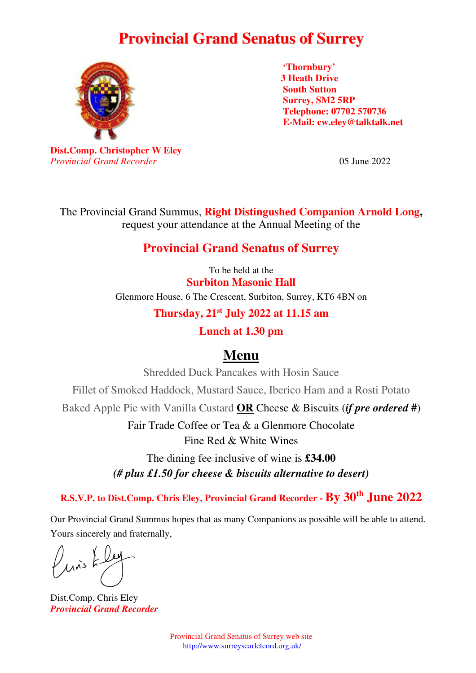## **Provincial Grand Senatus of Surrey**



**'Thornbury' 3 Heath Drive South Sutton Surrey, SM2 5RP Telephone: 07702 570736 E-Mail: cw.eley@talktalk.net** 

**Dist.Comp. Christopher W Eley**  *Provincial Grand Recorder* 05 June 2022

The Provincial Grand Summus, **Right Distingushed Companion Arnold Long,**  request your attendance at the Annual Meeting of the

## **Provincial Grand Senatus of Surrey**

To be held at the **Surbiton Masonic Hall**  Glenmore House, 6 The Crescent, Surbiton, Surrey, KT6 4BN on

**Thursday, 21st July 2022 at 11.15 am** 

**Lunch at 1.30 pm** 

## **Menu**

Shredded Duck Pancakes with Hosin Sauce

Fillet of Smoked Haddock, Mustard Sauce, Iberico Ham and a Rosti Potato

Baked Apple Pie with Vanilla Custard **OR** Cheese & Biscuits (*if pre ordered* **#**)

Fair Trade Coffee or Tea & a Glenmore Chocolate Fine Red & White Wines

The dining fee inclusive of wine is **£34.00** 

*(# plus £1.50 for cheese & biscuits alternative to desert)*

**R.S.V.P. to Dist.Comp. Chris Eley, Provincial Grand Recorder - By 30th June 2022**

Our Provincial Grand Summus hopes that as many Companions as possible will be able to attend. Yours sincerely and fraternally,

 $\mu$ is F

Dist.Comp. Chris Eley *Provincial Grand Recorder* 

Provincial Grand Senatus of Surrey web site http://www.surreyscarletcord.org.uk/